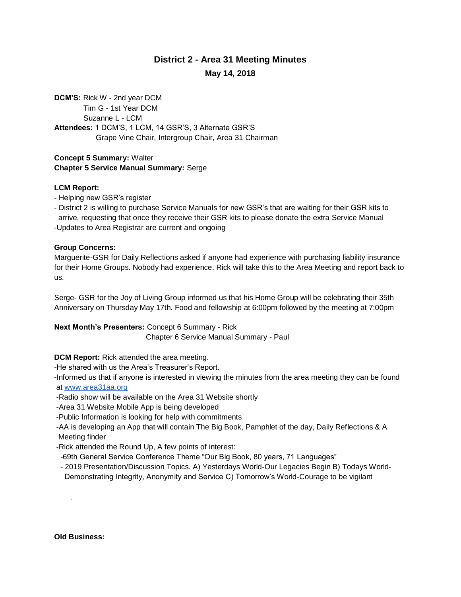# **District 2 - Area 31 Meeting Minutes May 14, 2018**

**DCM'S:** Rick W - 2nd year DCM Tim G - 1st Year DCM Suzanne L - LCM **Attendees:** 1 DCM'S, 1 LCM, 14 GSR'S, 3 Alternate GSR'S Grape Vine Chair, Intergroup Chair, Area 31 Chairman

#### **Concept 5 Summary:** Walter **Chapter 5 Service Manual Summary:** Serge

### **LCM Report:**

- Helping new GSR's register
- District 2 is willing to purchase Service Manuals for new GSR's that are waiting for their GSR kits to arrive, requesting that once they receive their GSR kits to please donate the extra Service Manual -Updates to Area Registrar are current and ongoing

### **Group Concerns:**

Marguerite-GSR for Daily Reflections asked if anyone had experience with purchasing liability insurance for their Home Groups. Nobody had experience. Rick will take this to the Area Meeting and report back to us.

Serge- GSR for the Joy of Living Group informed us that his Home Group will be celebrating their 35th Anniversary on Thursday May 17th. Food and fellowship at 6:00pm followed by the meeting at 7:00pm

**Next Month's Presenters:** Concept 6 Summary - Rick Chapter 6 Service Manual Summary - Paul

## **DCM Report:** Rick attended the area meeting.

-He shared with us the Area's Treasurer's Report.

-Informed us that if anyone is interested in viewing the minutes from the area meeting they can be found at [www.area31aa.org](http://www.area31aa.org/)

- -Radio show will be available on the Area 31 Website shortly
- -Area 31 Website Mobile App is being developed

-Public Information is looking for help with commitments

- -AA is developing an App that will contain The Big Book, Pamphlet of the day, Daily Reflections & A Meeting finder
- -Rick attended the Round Up, A few points of interest:
- -69th General Service Conference Theme "Our Big Book, 80 years, 71 Languages"
- 2019 Presentation/Discussion Topics. A) Yesterdays World-Our Legacies Begin B) Todays World- Demonstrating Integrity, Anonymity and Service C) Tomorrow's World-Courage to be vigilant

**Old Business:**

.